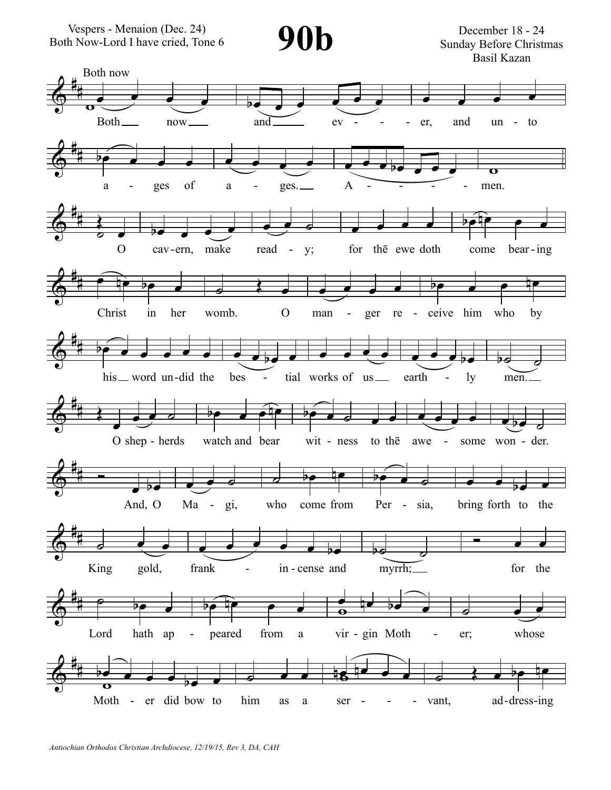Vespers - Menaion (Dec. 24) Poth Now-Lord I have cried, Tone 6 **90b** 



December 18 - 24 Sunday Before Christmas Basil Kazan